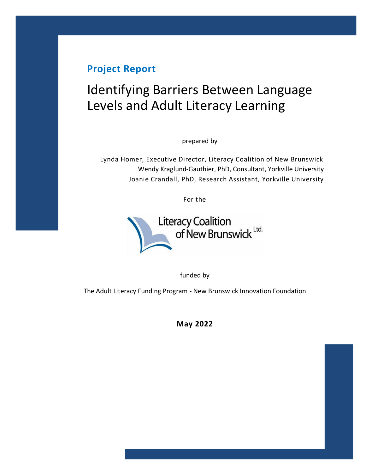# **Project Report**

# Identifying Barriers Between Language Levels and Adult Literacy Learning

prepared by

Lynda Homer, Executive Director, Literacy Coalition of New Brunswick Wendy Kraglund-Gauthier, PhD, Consultant, Yorkville University Joanie Crandall, PhD, Research Assistant, Yorkville University

For the



funded by

The Adult Literacy Funding Program - New Brunswick Innovation Foundation

**May 2022**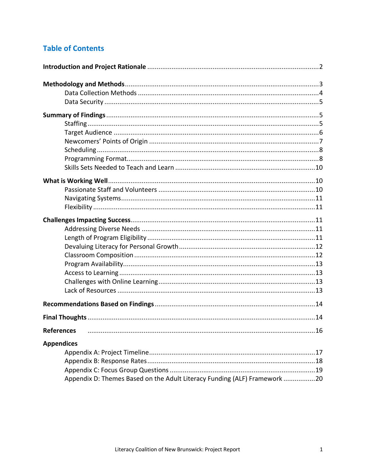# **Table of Contents**

| <b>References</b><br>.16                                                                       |
|------------------------------------------------------------------------------------------------|
| <b>Appendices</b><br>Appendix D: Themes Based on the Adult Literacy Funding (ALF) Framework 20 |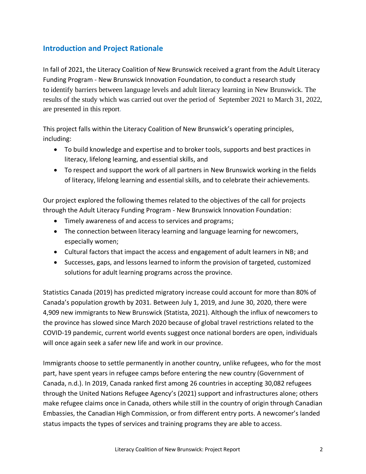# **Introduction and Project Rationale**

In fall of 2021, the Literacy Coalition of New Brunswick received a grant from the Adult Literacy Funding Program - New Brunswick Innovation Foundation, to conduct a research study to identify barriers between language levels and adult literacy learning in New Brunswick. The results of the study which was carried out over the period of September 2021 to March 31, 2022, are presented in this report.

This project falls within the Literacy Coalition of New Brunswick's operating principles, including:

- To build knowledge and expertise and to broker tools, supports and best practices in literacy, lifelong learning, and essential skills, and
- To respect and support the work of all partners in New Brunswick working in the fields of literacy, lifelong learning and essential skills, and to celebrate their achievements.

Our project explored the following themes related to the objectives of the call for projects through the Adult Literacy Funding Program - New Brunswick Innovation Foundation:

- Timely awareness of and access to services and programs;
- The connection between literacy learning and language learning for newcomers, especially women;
- Cultural factors that impact the access and engagement of adult learners in NB; and
- Successes, gaps, and lessons learned to inform the provision of targeted, customized solutions for adult learning programs across the province.

Statistics Canada (2019) has predicted migratory increase could account for more than 80% of Canada's population growth by 2031. Between July 1, 2019, and June 30, 2020, there were 4,909 new immigrants to New Brunswick (Statista, 2021). Although the influx of newcomers to the province has slowed since March 2020 because of global travel restrictions related to the COVID-19 pandemic, current world events suggest once national borders are open, individuals will once again seek a safer new life and work in our province.

Immigrants choose to settle permanently in another country, unlike refugees, who for the most part, have spent years in refugee camps before entering the new country (Government of Canada, n.d.). In 2019, Canada ranked first among 26 countries in accepting 30,082 refugees through the United Nations Refugee Agency's (2021) support and infrastructures alone; others make refugee claims once in Canada, others while still in the country of origin through Canadian Embassies, the Canadian High Commission, or from different entry ports. A newcomer's landed status impacts the types of services and training programs they are able to access.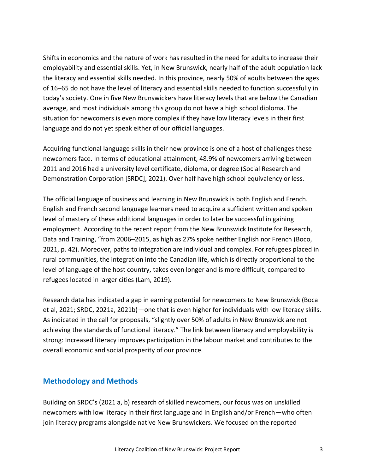Shifts in economics and the nature of work has resulted in the need for adults to increase their employability and essential skills. Yet, in New Brunswick, nearly half of the adult population lack the literacy and essential skills needed. In this province, nearly 50% of adults between the ages of 16–65 do not have the level of literacy and essential skills needed to function successfully in today's society. One in five New Brunswickers have literacy levels that are below the Canadian average, and most individuals among this group do not have a high school diploma. The situation for newcomers is even more complex if they have low literacy levels in their first language and do not yet speak either of our official languages.

Acquiring functional language skills in their new province is one of a host of challenges these newcomers face. In terms of educational attainment, 48.9% of newcomers arriving between 2011 and 2016 had a university level certificate, diploma, or degree (Social Research and Demonstration Corporation [SRDC], 2021). Over half have high school equivalency or less.

The official language of business and learning in New Brunswick is both English and French. English and French second language learners need to acquire a sufficient written and spoken level of mastery of these additional languages in order to later be successful in gaining employment. According to the recent report from the New Brunswick Institute for Research, Data and Training, "from 2006–2015, as high as 27% spoke neither English nor French (Boco, 2021, p. 42). Moreover, paths to integration are individual and complex. For refugees placed in rural communities, the integration into the Canadian life, which is directly proportional to the level of language of the host country, takes even longer and is more difficult, compared to refugees located in larger cities (Lam, 2019).

Research data has indicated a gap in earning potential for newcomers to New Brunswick (Boca et al, 2021; SRDC, 2021a, 2021b)—one that is even higher for individuals with low literacy skills. As indicated in the call for proposals, "slightly over 50% of adults in New Brunswick are not achieving the standards of functional literacy." The link between literacy and employability is strong: Increased literacy improves participation in the labour market and contributes to the overall economic and social prosperity of our province.

# **Methodology and Methods**

Building on SRDC's (2021 a, b) research of skilled newcomers, our focus was on unskilled newcomers with low literacy in their first language and in English and/or French—who often join literacy programs alongside native New Brunswickers. We focused on the reported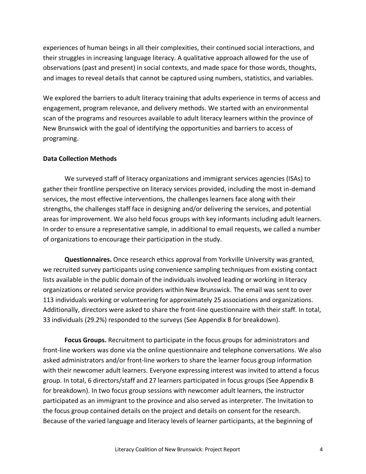experiences of human beings in all their complexities, their continued social interactions, and their struggles in increasing language literacy. A qualitative approach allowed for the use of observations (past and present) in social contexts, and made space for those words, thoughts, and images to reveal details that cannot be captured using numbers, statistics, and variables.

We explored the barriers to adult literacy training that adults experience in terms of access and engagement, program relevance, and delivery methods. We started with an environmental scan of the programs and resources available to adult literacy learners within the province of New Brunswick with the goal of identifying the opportunities and barriers to access of programing.

#### **Data Collection Methods**

We surveyed staff of literacy organizations and immigrant services agencies (ISAs) to gather their frontline perspective on literacy services provided, including the most in-demand services, the most effective interventions, the challenges learners face along with their strengths, the challenges staff face in designing and/or delivering the services, and potential areas for improvement. We also held focus groups with key informants including adult learners. In order to ensure a representative sample, in additional to email requests, we called a number of organizations to encourage their participation in the study.

**Questionnaires.** Once research ethics approval from Yorkville University was granted, we recruited survey participants using convenience sampling techniques from existing contact lists available in the public domain of the individuals involved leading or working in literacy organizations or related service providers within New Brunswick. The email was sent to over 113 individuals working or volunteering for approximately 25 associations and organizations. Additionally, directors were asked to share the front-line questionnaire with their staff. In total, 33 individuals (29.2%) responded to the surveys (See Appendix B for breakdown).

**Focus Groups.** Recruitment to participate in the focus groups for administrators and front-line workers was done via the online questionnaire and telephone conversations. We also asked administrators and/or front-line workers to share the learner focus group information with their newcomer adult learners. Everyone expressing interest was invited to attend a focus group. In total, 6 directors/staff and 27 learners participated in focus groups (See Appendix B for breakdown). In two focus group sessions with newcomer adult learners, the instructor participated as an immigrant to the province and also served as interpreter. The Invitation to the focus group contained details on the project and details on consent for the research. Because of the varied language and literacy levels of learner participants, at the beginning of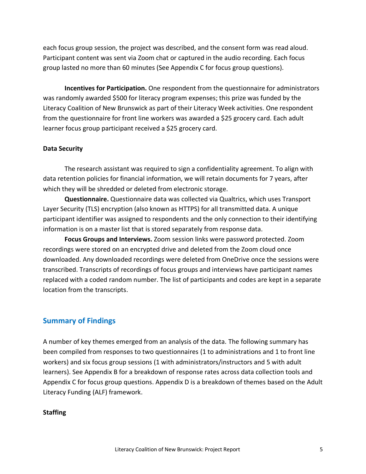each focus group session, the project was described, and the consent form was read aloud. Participant content was sent via Zoom chat or captured in the audio recording. Each focus group lasted no more than 60 minutes (See Appendix C for focus group questions).

**Incentives for Participation.** One respondent from the questionnaire for administrators was randomly awarded \$500 for literacy program expenses; this prize was funded by the Literacy Coalition of New Brunswick as part of their Literacy Week activities. One respondent from the questionnaire for front line workers was awarded a \$25 grocery card. Each adult learner focus group participant received a \$25 grocery card.

#### **Data Security**

The research assistant was required to sign a confidentiality agreement. To align with data retention policies for financial information, we will retain documents for 7 years, after which they will be shredded or deleted from electronic storage.

**Questionnaire.** Questionnaire data was collected via Qualtrics, which uses Transport Layer Security (TLS) encryption (also known as HTTPS) for all transmitted data. A unique participant identifier was assigned to respondents and the only connection to their identifying information is on a master list that is stored separately from response data.

**Focus Groups and Interviews.** Zoom session links were password protected. Zoom recordings were stored on an encrypted drive and deleted from the Zoom cloud once downloaded. Any downloaded recordings were deleted from OneDrive once the sessions were transcribed. Transcripts of recordings of focus groups and interviews have participant names replaced with a coded random number. The list of participants and codes are kept in a separate location from the transcripts.

# **Summary of Findings**

A number of key themes emerged from an analysis of the data. The following summary has been compiled from responses to two questionnaires (1 to administrations and 1 to front line workers) and six focus group sessions (1 with administrators/instructors and 5 with adult learners). See Appendix B for a breakdown of response rates across data collection tools and Appendix C for focus group questions. Appendix D is a breakdown of themes based on the Adult Literacy Funding (ALF) framework.

#### **Staffing**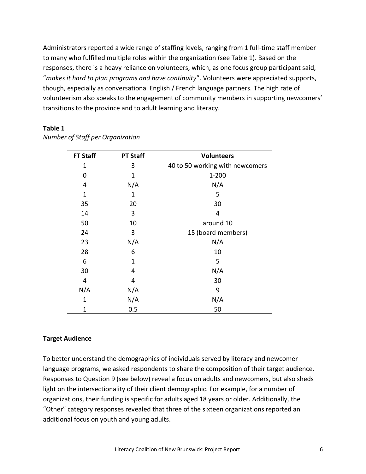Administrators reported a wide range of staffing levels, ranging from 1 full-time staff member to many who fulfilled multiple roles within the organization (see Table 1). Based on the responses, there is a heavy reliance on volunteers, which, as one focus group participant said, "*makes it hard to plan programs and have continuity*". Volunteers were appreciated supports, though, especially as conversational English / French language partners. The high rate of volunteerism also speaks to the engagement of community members in supporting newcomers' transitions to the province and to adult learning and literacy.

| <b>FT Staff</b> | <b>PT Staff</b> | <b>Volunteers</b>               |  |  |
|-----------------|-----------------|---------------------------------|--|--|
| 1               | 3               | 40 to 50 working with newcomers |  |  |
| 0               | 1               | 1-200                           |  |  |
| 4               | N/A             | N/A                             |  |  |
| $\mathbf 1$     | 1               | 5                               |  |  |
| 35              | 20              | 30                              |  |  |
| 14              | 3               | 4                               |  |  |
| 50              | 10              | around 10                       |  |  |
| 24              | 3               | 15 (board members)              |  |  |
| 23              | N/A             | N/A                             |  |  |
| 28              | 6               | 10                              |  |  |
| 6               | 1               | 5                               |  |  |
| 30              | 4               | N/A                             |  |  |
| 4               | 4               | 30                              |  |  |
| N/A             | N/A             | 9                               |  |  |
| 1               | N/A             | N/A                             |  |  |
| 1               | 0.5             | 50                              |  |  |

## **Table 1** *Number of Staff per Organization*

# **Target Audience**

To better understand the demographics of individuals served by literacy and newcomer language programs, we asked respondents to share the composition of their target audience. Responses to Question 9 (see below) reveal a focus on adults and newcomers, but also sheds light on the intersectionality of their client demographic. For example, for a number of organizations, their funding is specific for adults aged 18 years or older. Additionally, the "Other" category responses revealed that three of the sixteen organizations reported an additional focus on youth and young adults.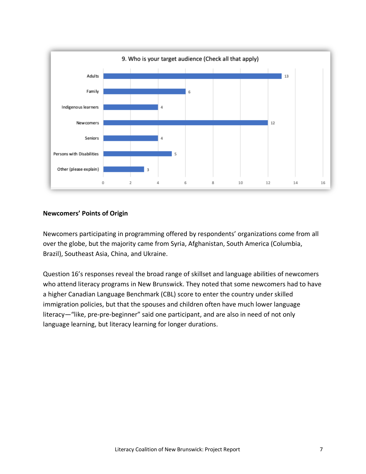

# **Newcomers' Points of Origin**

Newcomers participating in programming offered by respondents' organizations come from all over the globe, but the majority came from Syria, Afghanistan, South America (Columbia, Brazil), Southeast Asia, China, and Ukraine.

Question 16's responses reveal the broad range of skillset and language abilities of newcomers who attend literacy programs in New Brunswick. They noted that some newcomers had to have a higher Canadian Language Benchmark (CBL) score to enter the country under skilled immigration policies, but that the spouses and children often have much lower language literacy—"like, pre-pre-beginner" said one participant, and are also in need of not only language learning, but literacy learning for longer durations.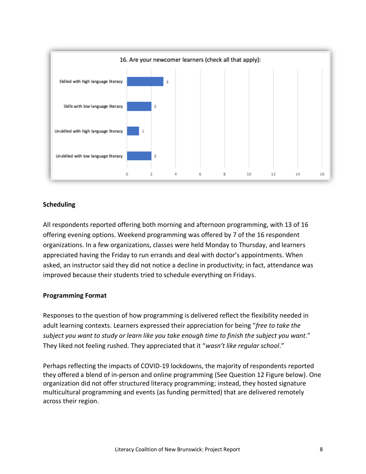

# **Scheduling**

All respondents reported offering both morning and afternoon programming, with 13 of 16 offering evening options. Weekend programming was offered by 7 of the 16 respondent organizations. In a few organizations, classes were held Monday to Thursday, and learners appreciated having the Friday to run errands and deal with doctor's appointments. When asked, an instructor said they did not notice a decline in productivity; in fact, attendance was improved because their students tried to schedule everything on Fridays.

## **Programming Format**

Responses to the question of how programming is delivered reflect the flexibility needed in adult learning contexts. Learners expressed their appreciation for being "*free to take the subject you want to study or learn like you take enough time to finish the subject you want*." They liked not feeling rushed. They appreciated that it "*wasn't like regular school*."

Perhaps reflecting the impacts of COVID-19 lockdowns, the majority of respondents reported they offered a blend of in-person and online programming (See Question 12 Figure below). One organization did not offer structured literacy programming; instead, they hosted signature multicultural programming and events (as funding permitted) that are delivered remotely across their region.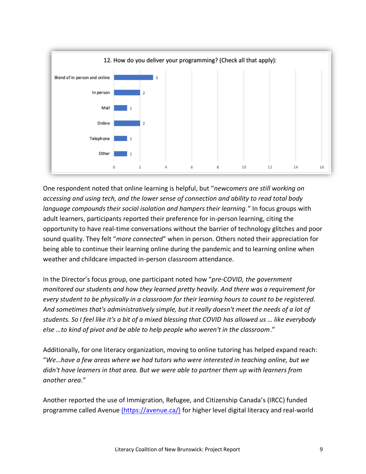

One respondent noted that online learning is helpful, but "*newcomers are still working on accessing and using tech, and the lower sense of connection and ability to read total body language compounds their social isolation and hampers their learning.*" In focus groups with adult learners, participants reported their preference for in-person learning, citing the opportunity to have real-time conversations without the barrier of technology glitches and poor sound quality. They felt "*more connected*" when in person. Others noted their appreciation for being able to continue their learning online during the pandemic and to learning online when weather and childcare impacted in-person classroom attendance.

In the Director's focus group, one participant noted how "*pre-COVID, the government monitored our students and how they learned pretty heavily. And there was a requirement for every student to be physically in a classroom for their learning hours to count to be registered. And sometimes that's administratively simple, but it really doesn't meet the needs of a lot of students. So I feel like it's a bit of a mixed blessing that COVID has allowed us … like everybody else …to kind of pivot and be able to help people who weren't in the classroom*."

Additionally, for one literacy organization, moving to online tutoring has helped expand reach: "*We…have a few areas where we had tutors who were interested in teaching online, but we didn't have learners in that area. But we were able to partner them up with learners from another area*."

Another reported the use of Immigration, Refugee, and Citizenship Canada's (IRCC) funded programme called Avenue [\(https://avenue.ca/\)](https://avenue.ca/) for higher level digital literacy and real-world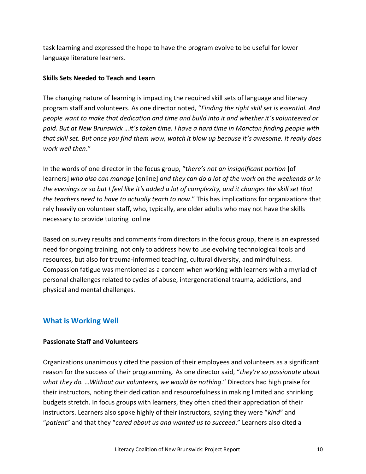task learning and expressed the hope to have the program evolve to be useful for lower language literature learners.

#### **Skills Sets Needed to Teach and Learn**

The changing nature of learning is impacting the required skill sets of language and literacy program staff and volunteers. As one director noted, "*Finding the right skill set is essential. And people want to make that dedication and time and build into it and whether it's volunteered or paid. But at New Brunswick …it's taken time. I have a hard time in Moncton finding people with that skill set. But once you find them wow, watch it blow up because it's awesome. It really does work well then*."

In the words of one director in the focus group, "t*here's not an insignificant portion* [of learners] *who also can manage* [online] *and they can do a lot of the work on the weekends or in the evenings or so but I feel like it's added a lot of complexity, and it changes the skill set that the teachers need to have to actually teach to now*." This has implications for organizations that rely heavily on volunteer staff, who, typically, are older adults who may not have the skills necessary to provide tutoring online

Based on survey results and comments from directors in the focus group, there is an expressed need for ongoing training, not only to address how to use evolving technological tools and resources, but also for trauma-informed teaching, cultural diversity, and mindfulness. Compassion fatigue was mentioned as a concern when working with learners with a myriad of personal challenges related to cycles of abuse, intergenerational trauma, addictions, and physical and mental challenges.

# **What is Working Well**

## **Passionate Staff and Volunteers**

Organizations unanimously cited the passion of their employees and volunteers as a significant reason for the success of their programming. As one director said, "*they're so passionate about what they do. …Without our volunteers, we would be nothing*." Directors had high praise for their instructors, noting their dedication and resourcefulness in making limited and shrinking budgets stretch. In focus groups with learners, they often cited their appreciation of their instructors. Learners also spoke highly of their instructors, saying they were "*kind*" and "*patient*" and that they "*cared about us and wanted us to succeed*." Learners also cited a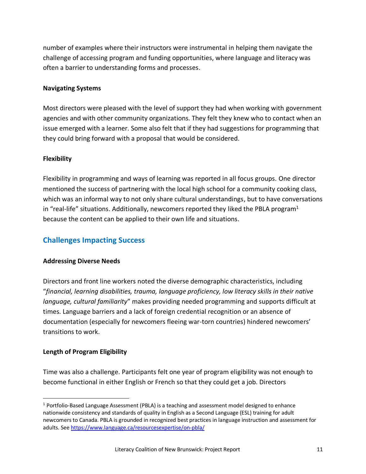number of examples where their instructors were instrumental in helping them navigate the challenge of accessing program and funding opportunities, where language and literacy was often a barrier to understanding forms and processes.

# **Navigating Systems**

Most directors were pleased with the level of support they had when working with government agencies and with other community organizations. They felt they knew who to contact when an issue emerged with a learner. Some also felt that if they had suggestions for programming that they could bring forward with a proposal that would be considered.

# **Flexibility**

Flexibility in programming and ways of learning was reported in all focus groups. One director mentioned the success of partnering with the local high school for a community cooking class, which was an informal way to not only share cultural understandings, but to have conversations in "real-life" situations. Additionally, newcomers reported they liked the PBLA program<sup>1</sup> because the content can be applied to their own life and situations.

# **Challenges Impacting Success**

## **Addressing Diverse Needs**

Directors and front line workers noted the diverse demographic characteristics, including "*financial, learning disabilities, trauma, language proficiency, low literacy skills in their native language, cultural familiarity*" makes providing needed programming and supports difficult at times. Language barriers and a lack of foreign credential recognition or an absence of documentation (especially for newcomers fleeing war-torn countries) hindered newcomers' transitions to work.

# **Length of Program Eligibility**

Time was also a challenge. Participants felt one year of program eligibility was not enough to become functional in either English or French so that they could get a job. Directors

 $1$  Portfolio-Based Language Assessment (PBLA) is a teaching and assessment model designed to enhance nationwide consistency and standards of quality in English as a Second Language (ESL) training for adult newcomers to Canada. PBLA is grounded in recognized best practices in language instruction and assessment for adults. Se[e https://www.language.ca/resourcesexpertise/on-pbla/](https://www.language.ca/resourcesexpertise/on-pbla/)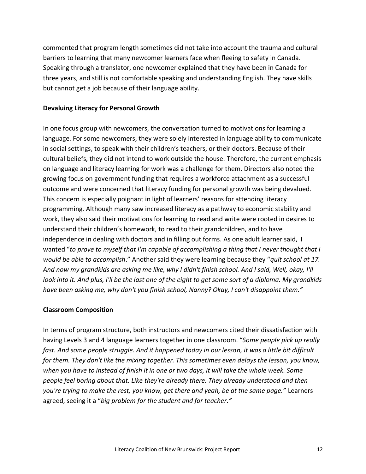commented that program length sometimes did not take into account the trauma and cultural barriers to learning that many newcomer learners face when fleeing to safety in Canada. Speaking through a translator, one newcomer explained that they have been in Canada for three years, and still is not comfortable speaking and understanding English. They have skills but cannot get a job because of their language ability.

## **Devaluing Literacy for Personal Growth**

In one focus group with newcomers, the conversation turned to motivations for learning a language. For some newcomers, they were solely interested in language ability to communicate in social settings, to speak with their children's teachers, or their doctors. Because of their cultural beliefs, they did not intend to work outside the house. Therefore, the current emphasis on language and literacy learning for work was a challenge for them. Directors also noted the growing focus on government funding that requires a workforce attachment as a successful outcome and were concerned that literacy funding for personal growth was being devalued. This concern is especially poignant in light of learners' reasons for attending literacy programming. Although many saw increased literacy as a pathway to economic stability and work, they also said their motivations for learning to read and write were rooted in desires to understand their children's homework, to read to their grandchildren, and to have independence in dealing with doctors and in filling out forms. As one adult learner said, I wanted "*to prove to myself that I'm capable of accomplishing a thing that I never thought that I would be able to accomplish*." Another said they were learning because they "*quit school at 17. And now my grandkids are asking me like, why I didn't finish school. And I said, Well, okay, I'll look into it. And plus, I'll be the last one of the eight to get some sort of a diploma. My grandkids have been asking me, why don't you finish school, Nanny? Okay, I can't disappoint them."*

## **Classroom Composition**

In terms of program structure, both instructors and newcomers cited their dissatisfaction with having Levels 3 and 4 language learners together in one classroom. "*Some people pick up really fast. And some people struggle. And it happened today in our lesson, it was a little bit difficult for them. They don't like the mixing together. This sometimes even delays the lesson, you know, when you have to instead of finish it in one or two days, it will take the whole week. Some people feel boring about that. Like they're already there. They already understood and then you're trying to make the rest, you know, get there and yeah, be at the same page.*" Learners agreed, seeing it a "*big problem for the student and for teacher."*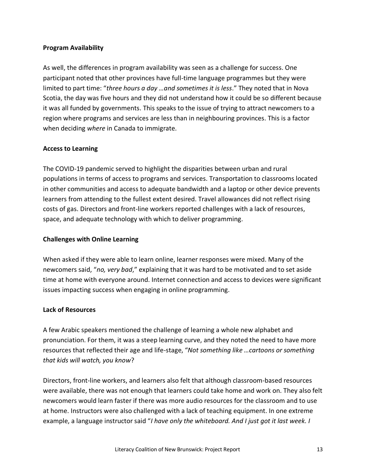## **Program Availability**

As well, the differences in program availability was seen as a challenge for success. One participant noted that other provinces have full-time language programmes but they were limited to part time: "*three hours a day …and sometimes it is less*." They noted that in Nova Scotia, the day was five hours and they did not understand how it could be so different because it was all funded by governments. This speaks to the issue of trying to attract newcomers to a region where programs and services are less than in neighbouring provinces. This is a factor when deciding *where* in Canada to immigrate.

# **Access to Learning**

The COVID-19 pandemic served to highlight the disparities between urban and rural populations in terms of access to programs and services. Transportation to classrooms located in other communities and access to adequate bandwidth and a laptop or other device prevents learners from attending to the fullest extent desired. Travel allowances did not reflect rising costs of gas. Directors and front-line workers reported challenges with a lack of resources, space, and adequate technology with which to deliver programming.

## **Challenges with Online Learning**

When asked if they were able to learn online, learner responses were mixed. Many of the newcomers said, "*no, very bad*," explaining that it was hard to be motivated and to set aside time at home with everyone around. Internet connection and access to devices were significant issues impacting success when engaging in online programming.

## **Lack of Resources**

A few Arabic speakers mentioned the challenge of learning a whole new alphabet and pronunciation. For them, it was a steep learning curve, and they noted the need to have more resources that reflected their age and life-stage, "*Not something like …cartoons or something that kids will watch, you know*?

Directors, front-line workers, and learners also felt that although classroom-based resources were available, there was not enough that learners could take home and work on. They also felt newcomers would learn faster if there was more audio resources for the classroom and to use at home. Instructors were also challenged with a lack of teaching equipment. In one extreme example, a language instructor said "*I have only the whiteboard. And I just got it last week. I*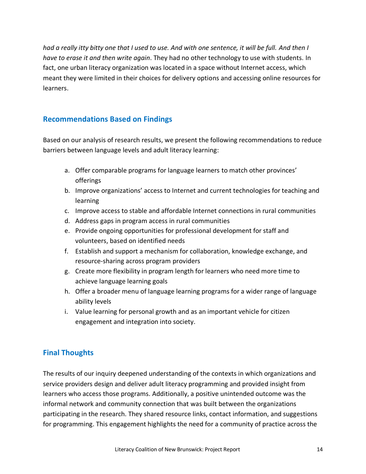*had a really itty bitty one that I used to use. And with one sentence, it will be full. And then I have to erase it and then write again*. They had no other technology to use with students. In fact, one urban literacy organization was located in a space without Internet access, which meant they were limited in their choices for delivery options and accessing online resources for learners.

# **Recommendations Based on Findings**

Based on our analysis of research results, we present the following recommendations to reduce barriers between language levels and adult literacy learning:

- a. Offer comparable programs for language learners to match other provinces' offerings
- b. Improve organizations' access to Internet and current technologies for teaching and learning
- c. Improve access to stable and affordable Internet connections in rural communities
- d. Address gaps in program access in rural communities
- e. Provide ongoing opportunities for professional development for staff and volunteers, based on identified needs
- f. Establish and support a mechanism for collaboration, knowledge exchange, and resource-sharing across program providers
- g. Create more flexibility in program length for learners who need more time to achieve language learning goals
- h. Offer a broader menu of language learning programs for a wider range of language ability levels
- i. Value learning for personal growth and as an important vehicle for citizen engagement and integration into society.

# **Final Thoughts**

The results of our inquiry deepened understanding of the contexts in which organizations and service providers design and deliver adult literacy programming and provided insight from learners who access those programs. Additionally, a positive unintended outcome was the informal network and community connection that was built between the organizations participating in the research. They shared resource links, contact information, and suggestions for programming. This engagement highlights the need for a community of practice across the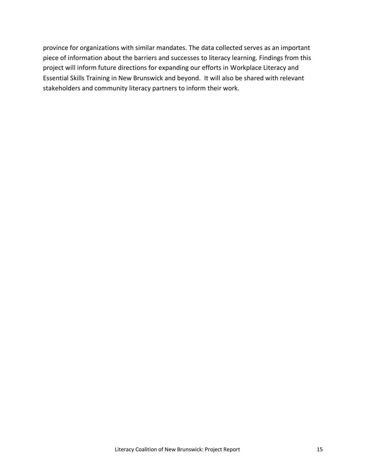province for organizations with similar mandates. The data collected serves as an important piece of information about the barriers and successes to literacy learning. Findings from this project will inform future directions for expanding our efforts in Workplace Literacy and Essential Skills Training in New Brunswick and beyond. It will also be shared with relevant stakeholders and community literacy partners to inform their work.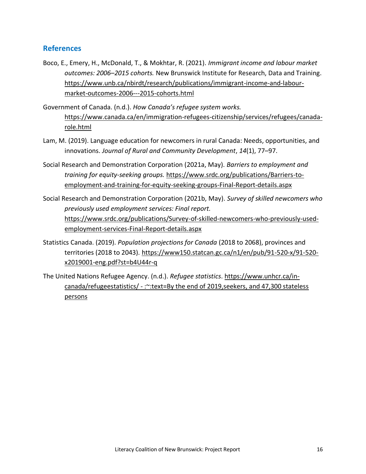# **References**

- Boco, E., Emery, H., McDonald, T., & Mokhtar, R. (2021). *Immigrant income and labour market outcomes: 2006–2015 cohorts.* New Brunswick Institute for Research, Data and Training. [https://www.unb.ca/nbirdt/research/publications/immigrant-income-and-labour](https://www.unb.ca/nbirdt/research/publications/immigrant-income-and-labour-market-outcomes-2006---2015-cohorts.html)[market-outcomes-2006---2015-cohorts.html](https://www.unb.ca/nbirdt/research/publications/immigrant-income-and-labour-market-outcomes-2006---2015-cohorts.html)
- Government of Canada. (n.d.). *How Canada's refugee system works.* [https://www.canada.ca/en/immigration-refugees-citizenship/services/refugees/canada](https://www.canada.ca/en/immigration-refugees-citizenship/services/refugees/canada-role.html)[role.html](https://www.canada.ca/en/immigration-refugees-citizenship/services/refugees/canada-role.html)
- Lam, M. (2019). Language education for newcomers in rural Canada: Needs, opportunities, and innovations. *Journal of Rural and Community Development*, *14*(1), 77–97.
- Social Research and Demonstration Corporation (2021a, May). *Barriers to employment and training for equity-seeking groups.* [https://www.srdc.org/publications/Barriers-to](https://www.srdc.org/publications/Barriers-to-employment-and-training-for-equity-seeking-groups-Final-Report-details.aspx)[employment-and-training-for-equity-seeking-groups-Final-Report-details.aspx](https://www.srdc.org/publications/Barriers-to-employment-and-training-for-equity-seeking-groups-Final-Report-details.aspx)
- Social Research and Demonstration Corporation (2021b, May). *Survey of skilled newcomers who previously used employment services: Final report.* [https://www.srdc.org/publications/Survey-of-skilled-newcomers-who-previously-used](https://www.srdc.org/publications/Survey-of-skilled-newcomers-who-previously-used-employment-services-Final-Report-details.aspx)[employment-services-Final-Report-details.aspx](https://www.srdc.org/publications/Survey-of-skilled-newcomers-who-previously-used-employment-services-Final-Report-details.aspx)
- Statistics Canada. (2019). *Population projections for Canada* (2018 to 2068), provinces and territories (2018 to 2043). [https://www150.statcan.gc.ca/n1/en/pub/91-520-x/91-520](https://www150.statcan.gc.ca/n1/en/pub/91-520-x/91-520-x2019001-eng.pdf?st=b4U44r-q) [x2019001-eng.pdf?st=b4U44r-q](https://www150.statcan.gc.ca/n1/en/pub/91-520-x/91-520-x2019001-eng.pdf?st=b4U44r-q)
- The United Nations Refugee Agency. (n.d.). *Refugee statistics*[. https://www.unhcr.ca/in](https://www.unhcr.ca/in-canada/refugeestatistics/#:~:text=By%20the%20end%20of%202019,seekers%2C%20and%2047%2C300%20stateless%20persons)canada/refugeestatistics/ - [:~:text=By the end of 2019,seekers, and 47,300 stateless](https://www.unhcr.ca/in-canada/refugeestatistics/#:~:text=By%20the%20end%20of%202019,seekers%2C%20and%2047%2C300%20stateless%20persons)  [persons](https://www.unhcr.ca/in-canada/refugeestatistics/#:~:text=By%20the%20end%20of%202019,seekers%2C%20and%2047%2C300%20stateless%20persons)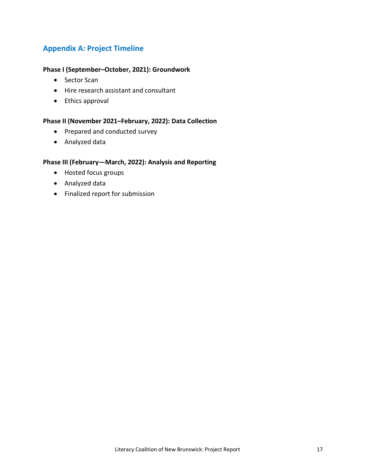# **Appendix A: Project Timeline**

#### **Phase I (September–October, 2021): Groundwork**

- Sector Scan
- Hire research assistant and consultant
- Ethics approval

# **Phase II (November 2021–February, 2022): Data Collection**

- Prepared and conducted survey
- Analyzed data

#### **Phase III (February—March, 2022): Analysis and Reporting**

- Hosted focus groups
- Analyzed data
- Finalized report for submission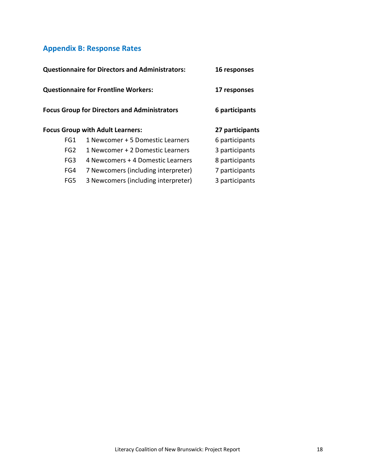# **Appendix B: Response Rates**

| <b>Questionnaire for Directors and Administrators:</b> |                 |  |
|--------------------------------------------------------|-----------------|--|
| <b>Questionnaire for Frontline Workers:</b>            | 17 responses    |  |
| <b>Focus Group for Directors and Administrators</b>    | 6 participants  |  |
| <b>Focus Group with Adult Learners:</b>                | 27 participants |  |
| 1 Newcomer + 5 Domestic Learners                       | 6 participants  |  |
| 1 Newcomer + 2 Domestic Learners                       | 3 participants  |  |
| 4 Newcomers + 4 Domestic Learners                      | 8 participants  |  |
| 7 Newcomers (including interpreter)                    | 7 participants  |  |
| 3 Newcomers (including interpreter)                    | 3 participants  |  |
|                                                        |                 |  |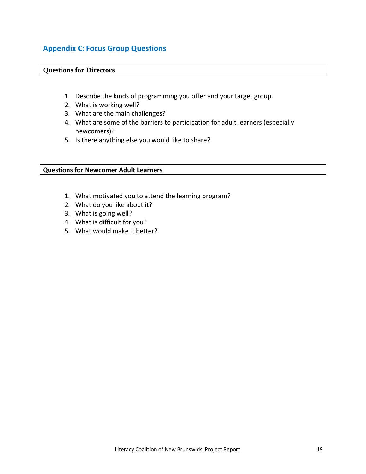# **Appendix C: Focus Group Questions**

# **Questions for Directors**

- 1. Describe the kinds of programming you offer and your target group.
- 2. What is working well?
- 3. What are the main challenges?
- 4. What are some of the barriers to participation for adult learners (especially newcomers)?
- 5. Is there anything else you would like to share?

#### **Questions for Newcomer Adult Learners**

- 1. What motivated you to attend the learning program?
- 2. What do you like about it?
- 3. What is going well?
- 4. What is difficult for you?
- 5. What would make it better?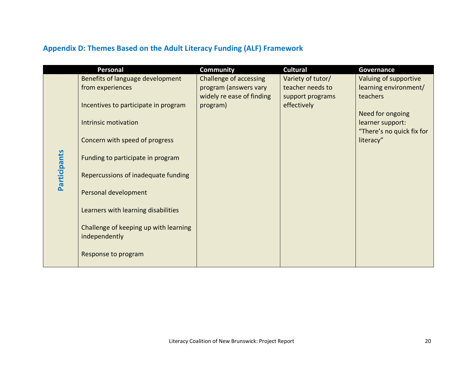# **Appendix D: Themes Based on the Adult Literacy Funding (ALF) Framework**

|              | Personal                              | <b>Community</b>          | <b>Cultural</b>   | <b>Governance</b>                             |
|--------------|---------------------------------------|---------------------------|-------------------|-----------------------------------------------|
|              | Benefits of language development      | Challenge of accessing    | Variety of tutor/ | Valuing of supportive                         |
|              | from experiences                      | program (answers vary     | teacher needs to  | learning environment/                         |
|              |                                       | widely re ease of finding | support programs  | teachers                                      |
|              | Incentives to participate in program  | program)                  | effectively       |                                               |
|              |                                       |                           |                   | Need for ongoing                              |
|              | Intrinsic motivation                  |                           |                   | learner support:<br>"There's no quick fix for |
|              | Concern with speed of progress        |                           |                   | literacy"                                     |
|              |                                       |                           |                   |                                               |
|              | Funding to participate in program     |                           |                   |                                               |
|              |                                       |                           |                   |                                               |
| Participants | Repercussions of inadequate funding   |                           |                   |                                               |
|              |                                       |                           |                   |                                               |
|              | Personal development                  |                           |                   |                                               |
|              | Learners with learning disabilities   |                           |                   |                                               |
|              |                                       |                           |                   |                                               |
|              | Challenge of keeping up with learning |                           |                   |                                               |
|              | independently                         |                           |                   |                                               |
|              |                                       |                           |                   |                                               |
|              | Response to program                   |                           |                   |                                               |
|              |                                       |                           |                   |                                               |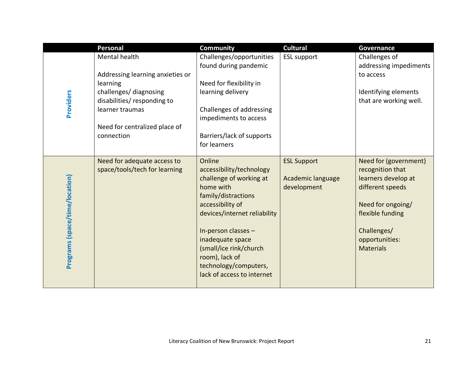|                                | Personal                                                                                                                                                                               | <b>Community</b>                                                                                                                                                                                                                                                                                    | <b>Cultural</b>                                        | Governance                                                                                                                                                                         |
|--------------------------------|----------------------------------------------------------------------------------------------------------------------------------------------------------------------------------------|-----------------------------------------------------------------------------------------------------------------------------------------------------------------------------------------------------------------------------------------------------------------------------------------------------|--------------------------------------------------------|------------------------------------------------------------------------------------------------------------------------------------------------------------------------------------|
| Providers                      | Mental health<br>Addressing learning anxieties or<br>learning<br>challenges/diagnosing<br>disabilities/responding to<br>learner traumas<br>Need for centralized place of<br>connection | Challenges/opportunities<br>found during pandemic<br>Need for flexibility in<br>learning delivery<br>Challenges of addressing<br>impediments to access<br>Barriers/lack of supports<br>for learners                                                                                                 | <b>ESL support</b>                                     | Challenges of<br>addressing impediments<br>to access<br>Identifying elements<br>that are working well.                                                                             |
| Programs (space/time/location) | Need for adequate access to<br>space/tools/tech for learning                                                                                                                           | Online<br>accessibility/technology<br>challenge of working at<br>home with<br>family/distractions<br>accessibility of<br>devices/internet reliability<br>In-person classes -<br>inadequate space<br>(small/ice rink/church<br>room), lack of<br>technology/computers,<br>lack of access to internet | <b>ESL Support</b><br>Academic language<br>development | Need for (government)<br>recognition that<br>learners develop at<br>different speeds<br>Need for ongoing/<br>flexible funding<br>Challenges/<br>opportunities:<br><b>Materials</b> |